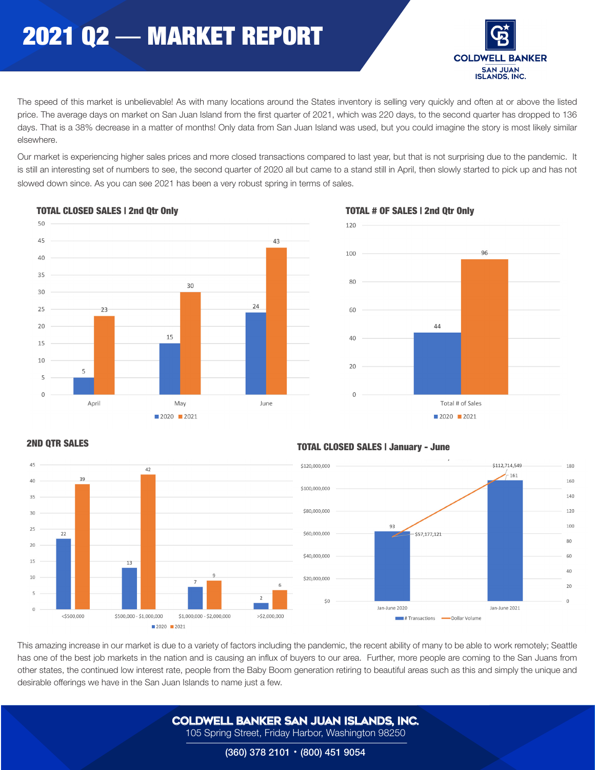# 2021 Q2 — MARKET REPORT



The speed of this market is unbelievable! As with many locations around the States inventory is selling very quickly and often at or above the listed price. The average days on market on San Juan Island from the first quarter of 2021, which was 220 days, to the second quarter has dropped to 136 days. That is a 38% decrease in a matter of months! Only data from San Juan Island was used, but you could imagine the story is most likely similar elsewhere.

Our market is experiencing higher sales prices and more closed transactions compared to last year, but that is not surprising due to the pandemic. It is still an interesting set of numbers to see, the second quarter of 2020 all but came to a stand still in April, then slowly started to pick up and has not slowed down since. As you can see 2021 has been a very robust spring in terms of sales.



### TOTAL CLOSED SALES | 2nd Otr Only TOTAL # OF SALES | 2nd Otr Only





## TOTAL CLOSED SALES | January - June 2ND QTR SALES



This amazing increase in our market is due to a variety of factors including the pandemic, the recent ability of many to be able to work remotely; Seattle has one of the best job markets in the nation and is causing an influx of buyers to our area. Further, more people are coming to the San Juans from other states, the continued low interest rate, people from the Baby Boom generation retiring to beautiful areas such as this and simply the unique and desirable offerings we have in the San Juan Islands to name just a few.

> COLDWELL BANKER SAN JUAN ISLANDS, Inc. 105 Spring Street, Friday Harbor, Washington 98250

> > (360) 378 2101 • (800) 451 9054